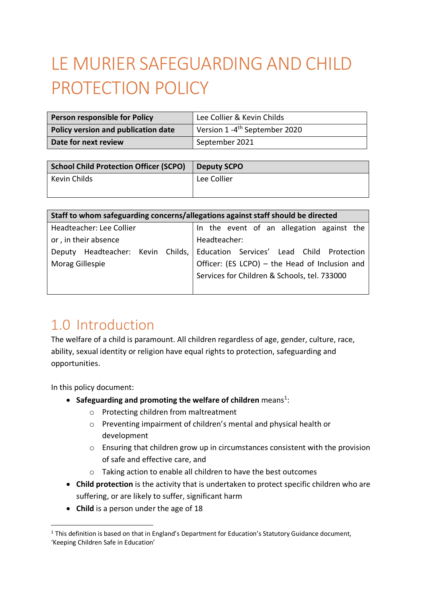# LE MURIER SAFEGUARDING AND CHILD PROTECTION POLICY

| Person responsible for Policy       | Lee Collier & Kevin Childs                |
|-------------------------------------|-------------------------------------------|
| Policy version and publication date | Version 1 -4 <sup>th</sup> September 2020 |
| Date for next review                | September 2021                            |

| School Child Protection Officer (SCPO) | <b>Deputy SCPO</b> |
|----------------------------------------|--------------------|
| Kevin Childs                           | Lee Collier        |
|                                        |                    |

| Staff to whom safeguarding concerns/allegations against staff should be directed |                                                |  |
|----------------------------------------------------------------------------------|------------------------------------------------|--|
| Headteacher: Lee Collier                                                         | In the event of an allegation against the      |  |
| or, in their absence                                                             | Headteacher:                                   |  |
| Deputy Headteacher: Kevin Childs,                                                | Education Services' Lead Child Protection      |  |
| Morag Gillespie                                                                  | Officer: (ES LCPO) - the Head of Inclusion and |  |
|                                                                                  | Services for Children & Schools, tel. 733000   |  |
|                                                                                  |                                                |  |

# 1.0 Introduction

The welfare of a child is paramount. All children regardless of age, gender, culture, race, ability, sexual identity or religion have equal rights to protection, safeguarding and opportunities.

In this policy document:

- **Safeguarding and promoting the welfare of children** means<sup>1</sup>:
	- o Protecting children from maltreatment
	- o Preventing impairment of children's mental and physical health or development
	- o Ensuring that children grow up in circumstances consistent with the provision of safe and effective care, and
	- o Taking action to enable all children to have the best outcomes
- **Child protection** is the activity that is undertaken to protect specific children who are suffering, or are likely to suffer, significant harm
- **Child** is a person under the age of 18

<sup>&</sup>lt;sup>1</sup> This definition is based on that in England's Department for Education's Statutory Guidance document, 'Keeping Children Safe in Education'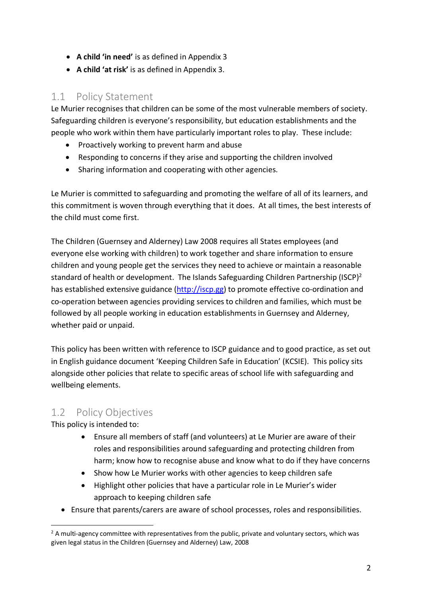- **A child 'in need'** is as defined in Appendix 3
- **A child 'at risk'** is as defined in Appendix 3.

### 1.1 Policy Statement

Le Murier recognises that children can be some of the most vulnerable members of society. Safeguarding children is everyone's responsibility, but education establishments and the people who work within them have particularly important roles to play. These include:

- Proactively working to prevent harm and abuse
- Responding to concerns if they arise and supporting the children involved
- Sharing information and cooperating with other agencies.

Le Murier is committed to safeguarding and promoting the welfare of all of its learners, and this commitment is woven through everything that it does. At all times, the best interests of the child must come first.

The Children (Guernsey and Alderney) Law 2008 requires all States employees (and everyone else working with children) to work together and share information to ensure children and young people get the services they need to achieve or maintain a reasonable standard of health or development. The Islands Safeguarding Children Partnership (ISCP)<sup>2</sup> has established extensive guidance (http://iscp.gg) to promote effective co-ordination and co-operation between agencies providing services to children and families, which must be followed by all people working in education establishments in Guernsey and Alderney, whether paid or unpaid.

This policy has been written with reference to ISCP guidance and to good practice, as set out in English guidance document 'Keeping Children Safe in Education' (KCSIE). This policy sits alongside other policies that relate to specific areas of school life with safeguarding and wellbeing elements.

### 1.2 Policy Objectives

This policy is intended to:

- Ensure all members of staff (and volunteers) at Le Murier are aware of their roles and responsibilities around safeguarding and protecting children from harm; know how to recognise abuse and know what to do if they have concerns
- Show how Le Murier works with other agencies to keep children safe
- Highlight other policies that have a particular role in Le Murier's wider approach to keeping children safe
- Ensure that parents/carers are aware of school processes, roles and responsibilities.

 $<sup>2</sup>$  A multi-agency committee with representatives from the public, private and voluntary sectors, which was</sup> given legal status in the Children (Guernsey and Alderney) Law, 2008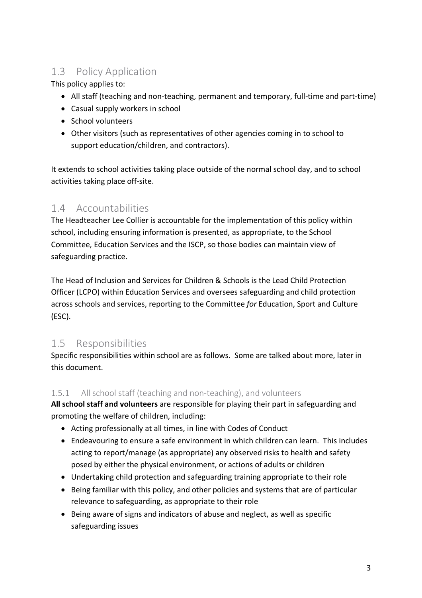# 1.3 Policy Application

This policy applies to:

- All staff (teaching and non-teaching, permanent and temporary, full-time and part-time)
- Casual supply workers in school
- School volunteers
- Other visitors (such as representatives of other agencies coming in to school to support education/children, and contractors).

It extends to school activities taking place outside of the normal school day, and to school activities taking place off-site.

# 1.4 Accountabilities

The Headteacher Lee Collier is accountable for the implementation of this policy within school, including ensuring information is presented, as appropriate, to the School Committee, Education Services and the ISCP, so those bodies can maintain view of safeguarding practice.

The Head of Inclusion and Services for Children & Schools is the Lead Child Protection Officer (LCPO) within Education Services and oversees safeguarding and child protection across schools and services, reporting to the Committee *for* Education, Sport and Culture (ESC).

# 1.5 Responsibilities

Specific responsibilities within school are as follows. Some are talked about more, later in this document.

#### 1.5.1 All school staff (teaching and non-teaching), and volunteers

**All school staff and volunteers** are responsible for playing their part in safeguarding and promoting the welfare of children, including:

- Acting professionally at all times, in line with Codes of Conduct
- Endeavouring to ensure a safe environment in which children can learn. This includes acting to report/manage (as appropriate) any observed risks to health and safety posed by either the physical environment, or actions of adults or children
- Undertaking child protection and safeguarding training appropriate to their role
- Being familiar with this policy, and other policies and systems that are of particular relevance to safeguarding, as appropriate to their role
- Being aware of signs and indicators of abuse and neglect, as well as specific safeguarding issues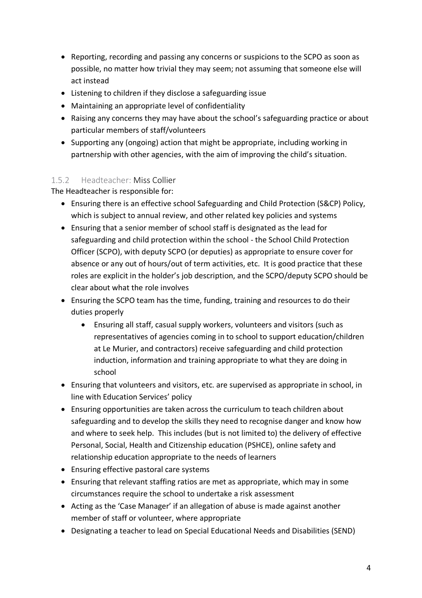- Reporting, recording and passing any concerns or suspicions to the SCPO as soon as possible, no matter how trivial they may seem; not assuming that someone else will act instead
- Listening to children if they disclose a safeguarding issue
- Maintaining an appropriate level of confidentiality
- Raising any concerns they may have about the school's safeguarding practice or about particular members of staff/volunteers
- Supporting any (ongoing) action that might be appropriate, including working in partnership with other agencies, with the aim of improving the child's situation.

#### 1.5.2 Headteacher: Miss Collier

The Headteacher is responsible for:

- Ensuring there is an effective school Safeguarding and Child Protection (S&CP) Policy, which is subject to annual review, and other related key policies and systems
- Ensuring that a senior member of school staff is designated as the lead for safeguarding and child protection within the school - the School Child Protection Officer (SCPO), with deputy SCPO (or deputies) as appropriate to ensure cover for absence or any out of hours/out of term activities, etc. It is good practice that these roles are explicit in the holder's job description, and the SCPO/deputy SCPO should be clear about what the role involves
- Ensuring the SCPO team has the time, funding, training and resources to do their duties properly
	- Ensuring all staff, casual supply workers, volunteers and visitors (such as representatives of agencies coming in to school to support education/children at Le Murier, and contractors) receive safeguarding and child protection induction, information and training appropriate to what they are doing in school
- Ensuring that volunteers and visitors, etc. are supervised as appropriate in school, in line with Education Services' policy
- Ensuring opportunities are taken across the curriculum to teach children about safeguarding and to develop the skills they need to recognise danger and know how and where to seek help. This includes (but is not limited to) the delivery of effective Personal, Social, Health and Citizenship education (PSHCE), online safety and relationship education appropriate to the needs of learners
- Ensuring effective pastoral care systems
- Ensuring that relevant staffing ratios are met as appropriate, which may in some circumstances require the school to undertake a risk assessment
- Acting as the 'Case Manager' if an allegation of abuse is made against another member of staff or volunteer, where appropriate
- Designating a teacher to lead on Special Educational Needs and Disabilities (SEND)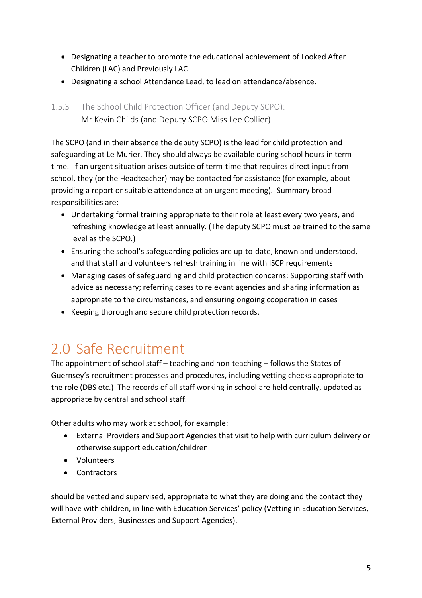- Designating a teacher to promote the educational achievement of Looked After Children (LAC) and Previously LAC
- Designating a school Attendance Lead, to lead on attendance/absence.

#### 1.5.3 The School Child Protection Officer (and Deputy SCPO): Mr Kevin Childs (and Deputy SCPO Miss Lee Collier)

The SCPO (and in their absence the deputy SCPO) is the lead for child protection and safeguarding at Le Murier. They should always be available during school hours in termtime. If an urgent situation arises outside of term-time that requires direct input from school, they (or the Headteacher) may be contacted for assistance (for example, about providing a report or suitable attendance at an urgent meeting). Summary broad responsibilities are:

- Undertaking formal training appropriate to their role at least every two years, and refreshing knowledge at least annually. (The deputy SCPO must be trained to the same level as the SCPO.)
- Ensuring the school's safeguarding policies are up-to-date, known and understood, and that staff and volunteers refresh training in line with ISCP requirements
- Managing cases of safeguarding and child protection concerns: Supporting staff with advice as necessary; referring cases to relevant agencies and sharing information as appropriate to the circumstances, and ensuring ongoing cooperation in cases
- Keeping thorough and secure child protection records.

# 2.0 Safe Recruitment

The appointment of school staff – teaching and non-teaching – follows the States of Guernsey's recruitment processes and procedures, including vetting checks appropriate to the role (DBS etc.) The records of all staff working in school are held centrally, updated as appropriate by central and school staff.

Other adults who may work at school, for example:

- External Providers and Support Agencies that visit to help with curriculum delivery or otherwise support education/children
- Volunteers
- Contractors

should be vetted and supervised, appropriate to what they are doing and the contact they will have with children, in line with Education Services' policy (Vetting in Education Services, External Providers, Businesses and Support Agencies).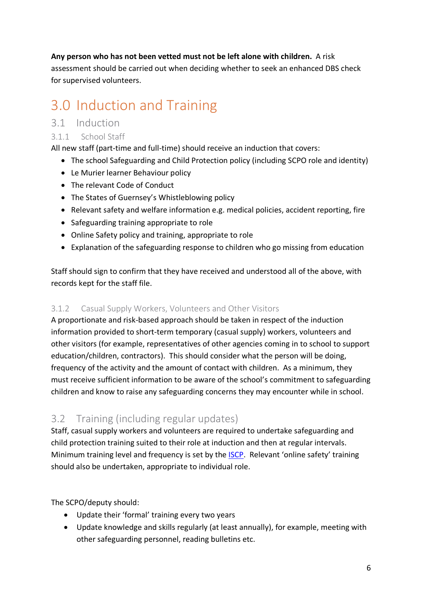#### **Any person who has not been vetted must not be left alone with children.** A risk

assessment should be carried out when deciding whether to seek an enhanced DBS check for supervised volunteers.

# 3.0 Induction and Training

### 3.1 Induction

#### 3.1.1 School Staff

All new staff (part-time and full-time) should receive an induction that covers:

- The school Safeguarding and Child Protection policy (including SCPO role and identity)
- Le Murier learner Behaviour policy
- The relevant Code of Conduct
- The States of Guernsey's Whistleblowing policy
- Relevant safety and welfare information e.g. medical policies, accident reporting, fire
- Safeguarding training appropriate to role
- Online Safety policy and training, appropriate to role
- Explanation of the safeguarding response to children who go missing from education

Staff should sign to confirm that they have received and understood all of the above, with records kept for the staff file.

#### 3.1.2 Casual Supply Workers, Volunteers and Other Visitors

A proportionate and risk-based approach should be taken in respect of the induction information provided to short-term temporary (casual supply) workers, volunteers and other visitors (for example, representatives of other agencies coming in to school to support education/children, contractors). This should consider what the person will be doing, frequency of the activity and the amount of contact with children. As a minimum, they must receive sufficient information to be aware of the school's commitment to safeguarding children and know to raise any safeguarding concerns they may encounter while in school.

### 3.2 Training (including regular updates)

Staff, casual supply workers and volunteers are required to undertake safeguarding and child protection training suited to their role at induction and then at regular intervals. Minimum training level and frequency is set by the ISCP. Relevant 'online safety' training should also be undertaken, appropriate to individual role.

#### The SCPO/deputy should:

- Update their 'formal' training every two years
- Update knowledge and skills regularly (at least annually), for example, meeting with other safeguarding personnel, reading bulletins etc.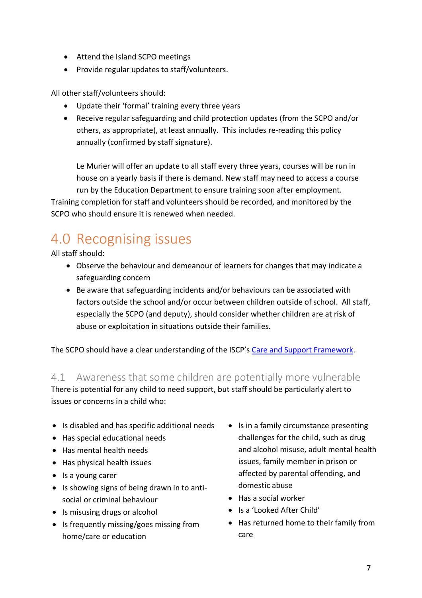- Attend the Island SCPO meetings
- Provide regular updates to staff/volunteers.

All other staff/volunteers should:

- Update their 'formal' training every three years
- Receive regular safeguarding and child protection updates (from the SCPO and/or others, as appropriate), at least annually. This includes re-reading this policy annually (confirmed by staff signature).

Le Murier will offer an update to all staff every three years, courses will be run in house on a yearly basis if there is demand. New staff may need to access a course run by the Education Department to ensure training soon after employment.

Training completion for staff and volunteers should be recorded, and monitored by the SCPO who should ensure it is renewed when needed.

# 4.0 Recognising issues

All staff should:

- Observe the behaviour and demeanour of learners for changes that may indicate a safeguarding concern
- Be aware that safeguarding incidents and/or behaviours can be associated with factors outside the school and/or occur between children outside of school. All staff, especially the SCPO (and deputy), should consider whether children are at risk of abuse or exploitation in situations outside their families.

The SCPO should have a clear understanding of the ISCP's Care and Support Framework.

#### 4.1 Awareness that some children are potentially more vulnerable

There is potential for any child to need support, but staff should be particularly alert to issues or concerns in a child who:

- Is disabled and has specific additional needs
- Has special educational needs
- Has mental health needs
- Has physical health issues
- Is a young carer
- Is showing signs of being drawn in to antisocial or criminal behaviour
- Is misusing drugs or alcohol
- Is frequently missing/goes missing from home/care or education
- Is in a family circumstance presenting challenges for the child, such as drug and alcohol misuse, adult mental health issues, family member in prison or affected by parental offending, and domestic abuse
- Has a social worker
- Is a 'Looked After Child'
- Has returned home to their family from care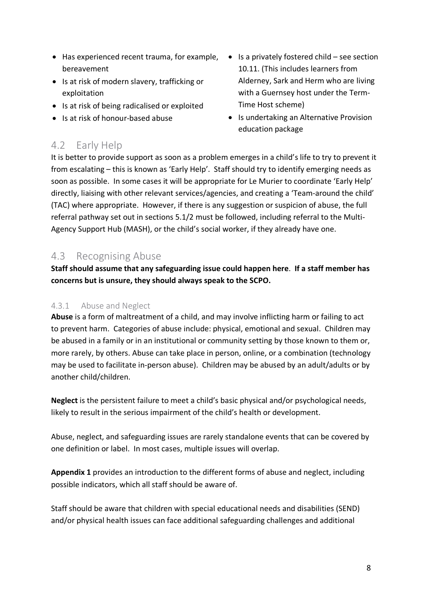- Has experienced recent trauma, for example, Is a privately fostered child see section bereavement
- Is at risk of modern slavery, trafficking or exploitation
- Is at risk of being radicalised or exploited
- Is at risk of honour-based abuse
- 10.11. (This includes learners from Alderney, Sark and Herm who are living with a Guernsey host under the Term-Time Host scheme)
- Is undertaking an Alternative Provision education package

### 4.2 Early Help

It is better to provide support as soon as a problem emerges in a child's life to try to prevent it from escalating – this is known as 'Early Help'. Staff should try to identify emerging needs as soon as possible. In some cases it will be appropriate for Le Murier to coordinate 'Early Help' directly, liaising with other relevant services/agencies, and creating a 'Team-around the child' (TAC) where appropriate. However, if there is any suggestion or suspicion of abuse, the full referral pathway set out in sections 5.1/2 must be followed, including referral to the Multi-Agency Support Hub (MASH), or the child's social worker, if they already have one.

## 4.3 Recognising Abuse

**Staff should assume that any safeguarding issue could happen here**. **If a staff member has concerns but is unsure, they should always speak to the SCPO.**

#### 4.3.1 Abuse and Neglect

**Abuse** is a form of maltreatment of a child, and may involve inflicting harm or failing to act to prevent harm. Categories of abuse include: physical, emotional and sexual. Children may be abused in a family or in an institutional or community setting by those known to them or, more rarely, by others. Abuse can take place in person, online, or a combination (technology may be used to facilitate in-person abuse). Children may be abused by an adult/adults or by another child/children.

**Neglect** is the persistent failure to meet a child's basic physical and/or psychological needs, likely to result in the serious impairment of the child's health or development.

Abuse, neglect, and safeguarding issues are rarely standalone events that can be covered by one definition or label. In most cases, multiple issues will overlap.

**Appendix 1** provides an introduction to the different forms of abuse and neglect, including possible indicators, which all staff should be aware of.

Staff should be aware that children with special educational needs and disabilities (SEND) and/or physical health issues can face additional safeguarding challenges and additional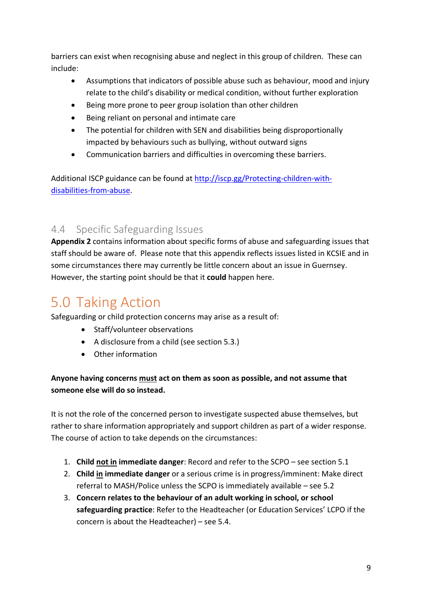barriers can exist when recognising abuse and neglect in this group of children. These can include:

- Assumptions that indicators of possible abuse such as behaviour, mood and injury relate to the child's disability or medical condition, without further exploration
- Being more prone to peer group isolation than other children
- Being reliant on personal and intimate care
- The potential for children with SEN and disabilities being disproportionally impacted by behaviours such as bullying, without outward signs
- Communication barriers and difficulties in overcoming these barriers.

Additional ISCP guidance can be found at http://iscp.gg/Protecting-children-withdisabilities-from-abuse.

## 4.4 Specific Safeguarding Issues

**Appendix 2** contains information about specific forms of abuse and safeguarding issues that staff should be aware of. Please note that this appendix reflects issues listed in KCSIE and in some circumstances there may currently be little concern about an issue in Guernsey. However, the starting point should be that it **could** happen here.

# 5.0 Taking Action

Safeguarding or child protection concerns may arise as a result of:

- Staff/volunteer observations
- A disclosure from a child (see section 5.3.)
- Other information

#### **Anyone having concerns must act on them as soon as possible, and not assume that someone else will do so instead.**

It is not the role of the concerned person to investigate suspected abuse themselves, but rather to share information appropriately and support children as part of a wider response. The course of action to take depends on the circumstances:

- 1. **Child not in immediate danger**: Record and refer to the SCPO see section 5.1
- 2. **Child in immediate danger** or a serious crime is in progress/imminent: Make direct referral to MASH/Police unless the SCPO is immediately available – see 5.2
- 3. **Concern relates to the behaviour of an adult working in school, or school safeguarding practice**: Refer to the Headteacher (or Education Services' LCPO if the concern is about the Headteacher) – see 5.4.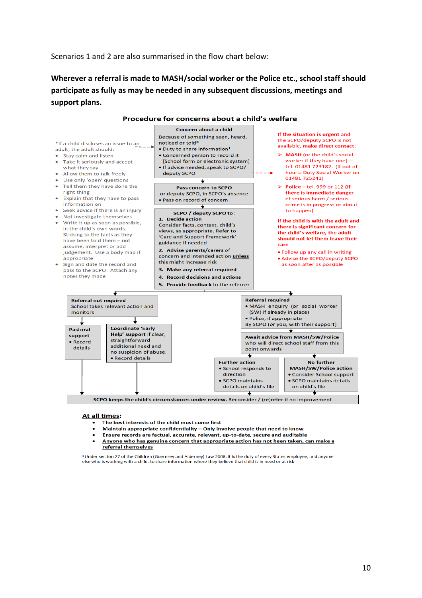#### Scenarios 1 and 2 are also summarised in the flow chart below:

**Wherever a referral is made to MASH/social worker or the Police etc., school staff should participate as fully as may be needed in any subsequent discussions, meetings and support plans.**



#### At all times:

- The best interests of the child must come first
- Maintain appropriate confidentiality Only involve people that need to know
- Ensure records are factual, accurate, relevant, up-to-date, secure and auditable
- Anyone who has genuine concern that appropriate action has not been taken, can make a referral themselves

<sup>1</sup> Under section 27 of the Children (Guernsey and Alderney) Law 2008, it is the duty of every States employee, and anyone else who is working with a child, to share information where they believe that child is in need or at risk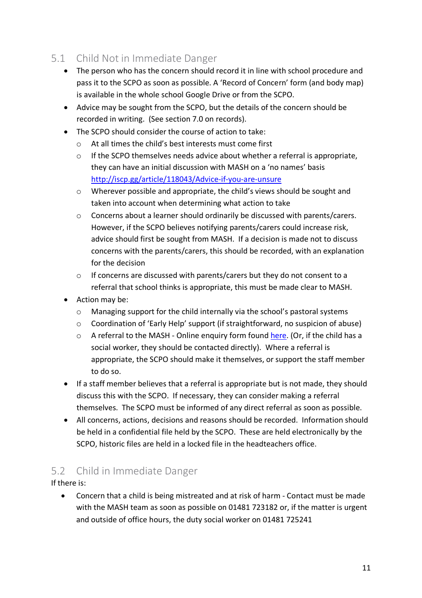## 5.1 Child Not in Immediate Danger

- The person who has the concern should record it in line with school procedure and pass it to the SCPO as soon as possible. A 'Record of Concern' form (and body map) is available in the whole school Google Drive or from the SCPO.
- Advice may be sought from the SCPO, but the details of the concern should be recorded in writing. (See section 7.0 on records).
- The SCPO should consider the course of action to take:
	- o At all times the child's best interests must come first
	- $\circ$  If the SCPO themselves needs advice about whether a referral is appropriate. they can have an initial discussion with MASH on a 'no names' basis http://iscp.gg/article/118043/Advice-if-you-are-unsure
	- o Wherever possible and appropriate, the child's views should be sought and taken into account when determining what action to take
	- o Concerns about a learner should ordinarily be discussed with parents/carers. However, if the SCPO believes notifying parents/carers could increase risk, advice should first be sought from MASH. If a decision is made not to discuss concerns with the parents/carers, this should be recorded, with an explanation for the decision
	- o If concerns are discussed with parents/carers but they do not consent to a referral that school thinks is appropriate, this must be made clear to MASH.
- Action may be:
	- o Managing support for the child internally via the school's pastoral systems
	- o Coordination of 'Early Help' support (if straightforward, no suspicion of abuse)
	- o A referral to the MASH Online enquiry form found here. (Or, if the child has a social worker, they should be contacted directly). Where a referral is appropriate, the SCPO should make it themselves, or support the staff member to do so.
- If a staff member believes that a referral is appropriate but is not made, they should discuss this with the SCPO. If necessary, they can consider making a referral themselves. The SCPO must be informed of any direct referral as soon as possible.
- All concerns, actions, decisions and reasons should be recorded. Information should be held in a confidential file held by the SCPO. These are held electronically by the SCPO, historic files are held in a locked file in the headteachers office.

# 5.2 Child in Immediate Danger

If there is:

• Concern that a child is being mistreated and at risk of harm - Contact must be made with the MASH team as soon as possible on 01481 723182 or, if the matter is urgent and outside of office hours, the duty social worker on 01481 725241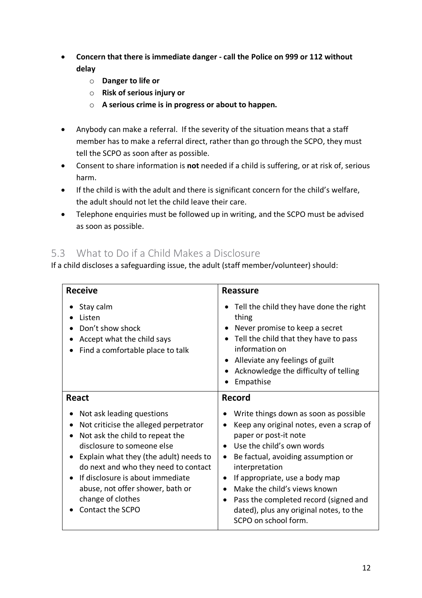- **Concern that there is immediate danger - call the Police on 999 or 112 without delay**
	- o **Danger to life or**
	- o **Risk of serious injury or**
	- o **A serious crime is in progress or about to happen.**
- Anybody can make a referral. If the severity of the situation means that a staff member has to make a referral direct, rather than go through the SCPO, they must tell the SCPO as soon after as possible.
- Consent to share information is **not** needed if a child is suffering, or at risk of, serious harm.
- If the child is with the adult and there is significant concern for the child's welfare, the adult should not let the child leave their care.
- Telephone enquiries must be followed up in writing, and the SCPO must be advised as soon as possible.

## 5.3 What to Do if a Child Makes a Disclosure

If a child discloses a safeguarding issue, the adult (staff member/volunteer) should:

| <b>Receive</b>                                                                                                                                                                                                                                                                                                                         | <b>Reassure</b>                                                                                                                                                                                                                                                                                                                                                                                                                   |
|----------------------------------------------------------------------------------------------------------------------------------------------------------------------------------------------------------------------------------------------------------------------------------------------------------------------------------------|-----------------------------------------------------------------------------------------------------------------------------------------------------------------------------------------------------------------------------------------------------------------------------------------------------------------------------------------------------------------------------------------------------------------------------------|
| Stay calm<br>Listen<br>Don't show shock<br>Accept what the child says<br>Find a comfortable place to talk                                                                                                                                                                                                                              | Tell the child they have done the right<br>٠<br>thing<br>Never promise to keep a secret<br>٠<br>Tell the child that they have to pass<br>$\bullet$<br>information on<br>Alleviate any feelings of guilt<br>$\bullet$<br>Acknowledge the difficulty of telling<br>Empathise                                                                                                                                                        |
| <b>React</b>                                                                                                                                                                                                                                                                                                                           | Record                                                                                                                                                                                                                                                                                                                                                                                                                            |
| Not ask leading questions<br>Not criticise the alleged perpetrator<br>Not ask the child to repeat the<br>disclosure to someone else<br>Explain what they (the adult) needs to<br>do next and who they need to contact<br>If disclosure is about immediate<br>abuse, not offer shower, bath or<br>change of clothes<br>Contact the SCPO | Write things down as soon as possible<br>Keep any original notes, even a scrap of<br>paper or post-it note<br>Use the child's own words<br>$\bullet$<br>Be factual, avoiding assumption or<br>$\bullet$<br>interpretation<br>If appropriate, use a body map<br>$\bullet$<br>Make the child's views known<br>Pass the completed record (signed and<br>$\bullet$<br>dated), plus any original notes, to the<br>SCPO on school form. |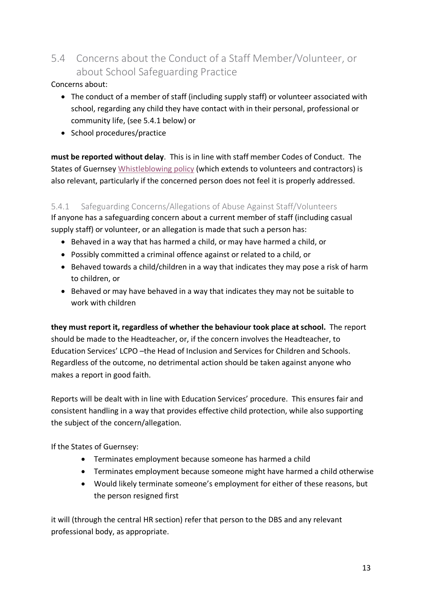# 5.4 Concerns about the Conduct of a Staff Member/Volunteer, or about School Safeguarding Practice

Concerns about:

- The conduct of a member of staff (including supply staff) or volunteer associated with school, regarding any child they have contact with in their personal, professional or community life, (see 5.4.1 below) or
- School procedures/practice

**must be reported without delay**. This is in line with staff member Codes of Conduct. The States of Guernsey Whistleblowing policy (which extends to volunteers and contractors) is also relevant, particularly if the concerned person does not feel it is properly addressed.

#### 5.4.1 Safeguarding Concerns/Allegations of Abuse Against Staff/Volunteers

If anyone has a safeguarding concern about a current member of staff (including casual supply staff) or volunteer, or an allegation is made that such a person has:

- Behaved in a way that has harmed a child, or may have harmed a child, or
- Possibly committed a criminal offence against or related to a child, or
- Behaved towards a child/children in a way that indicates they may pose a risk of harm to children, or
- Behaved or may have behaved in a way that indicates they may not be suitable to work with children

**they must report it, regardless of whether the behaviour took place at school.** The report should be made to the Headteacher, or, if the concern involves the Headteacher, to Education Services' LCPO –the Head of Inclusion and Services for Children and Schools. Regardless of the outcome, no detrimental action should be taken against anyone who makes a report in good faith.

Reports will be dealt with in line with Education Services' procedure. This ensures fair and consistent handling in a way that provides effective child protection, while also supporting the subject of the concern/allegation.

If the States of Guernsey:

- Terminates employment because someone has harmed a child
- Terminates employment because someone might have harmed a child otherwise
- Would likely terminate someone's employment for either of these reasons, but the person resigned first

it will (through the central HR section) refer that person to the DBS and any relevant professional body, as appropriate.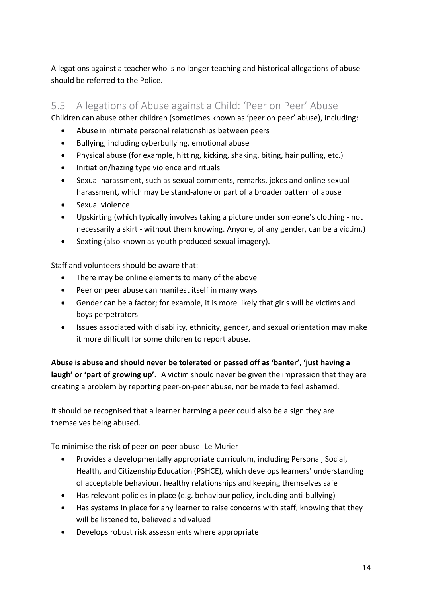Allegations against a teacher who is no longer teaching and historical allegations of abuse should be referred to the Police.

## 5.5 Allegations of Abuse against a Child: 'Peer on Peer' Abuse

Children can abuse other children (sometimes known as 'peer on peer' abuse), including:

- Abuse in intimate personal relationships between peers
- Bullying, including cyberbullying, emotional abuse
- Physical abuse (for example, hitting, kicking, shaking, biting, hair pulling, etc.)
- Initiation/hazing type violence and rituals
- Sexual harassment, such as sexual comments, remarks, jokes and online sexual harassment, which may be stand-alone or part of a broader pattern of abuse
- Sexual violence
- Upskirting (which typically involves taking a picture under someone's clothing not necessarily a skirt - without them knowing. Anyone, of any gender, can be a victim.)
- Sexting (also known as youth produced sexual imagery).

Staff and volunteers should be aware that:

- There may be online elements to many of the above
- Peer on peer abuse can manifest itself in many ways
- Gender can be a factor; for example, it is more likely that girls will be victims and boys perpetrators
- Issues associated with disability, ethnicity, gender, and sexual orientation may make it more difficult for some children to report abuse.

**Abuse is abuse and should never be tolerated or passed off as 'banter', 'just having a laugh' or 'part of growing up'**. A victim should never be given the impression that they are creating a problem by reporting peer-on-peer abuse, nor be made to feel ashamed.

It should be recognised that a learner harming a peer could also be a sign they are themselves being abused.

To minimise the risk of peer-on-peer abuse- Le Murier

- Provides a developmentally appropriate curriculum, including Personal, Social, Health, and Citizenship Education (PSHCE), which develops learners' understanding of acceptable behaviour, healthy relationships and keeping themselves safe
- Has relevant policies in place (e.g. behaviour policy, including anti-bullying)
- Has systems in place for any learner to raise concerns with staff, knowing that they will be listened to, believed and valued
- Develops robust risk assessments where appropriate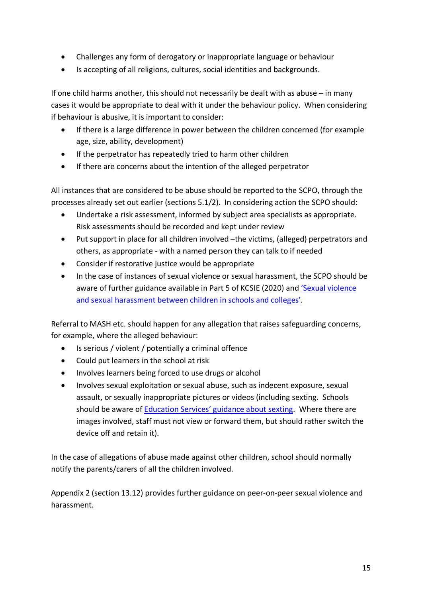- Challenges any form of derogatory or inappropriate language or behaviour
- Is accepting of all religions, cultures, social identities and backgrounds.

If one child harms another, this should not necessarily be dealt with as abuse – in many cases it would be appropriate to deal with it under the behaviour policy. When considering if behaviour is abusive, it is important to consider:

- If there is a large difference in power between the children concerned (for example age, size, ability, development)
- If the perpetrator has repeatedly tried to harm other children
- If there are concerns about the intention of the alleged perpetrator

All instances that are considered to be abuse should be reported to the SCPO, through the processes already set out earlier (sections 5.1/2). In considering action the SCPO should:

- Undertake a risk assessment, informed by subject area specialists as appropriate. Risk assessments should be recorded and kept under review
- Put support in place for all children involved –the victims, (alleged) perpetrators and others, as appropriate - with a named person they can talk to if needed
- Consider if restorative justice would be appropriate
- In the case of instances of sexual violence or sexual harassment, the SCPO should be aware of further guidance available in Part 5 of KCSIE (2020) and 'Sexual violence and sexual harassment between children in schools and colleges'.

Referral to MASH etc. should happen for any allegation that raises safeguarding concerns, for example, where the alleged behaviour:

- Is serious / violent / potentially a criminal offence
- Could put learners in the school at risk
- Involves learners being forced to use drugs or alcohol
- Involves sexual exploitation or sexual abuse, such as indecent exposure, sexual assault, or sexually inappropriate pictures or videos (including sexting. Schools should be aware of Education Services' guidance about sexting. Where there are images involved, staff must not view or forward them, but should rather switch the device off and retain it).

In the case of allegations of abuse made against other children, school should normally notify the parents/carers of all the children involved.

Appendix 2 (section 13.12) provides further guidance on peer-on-peer sexual violence and harassment.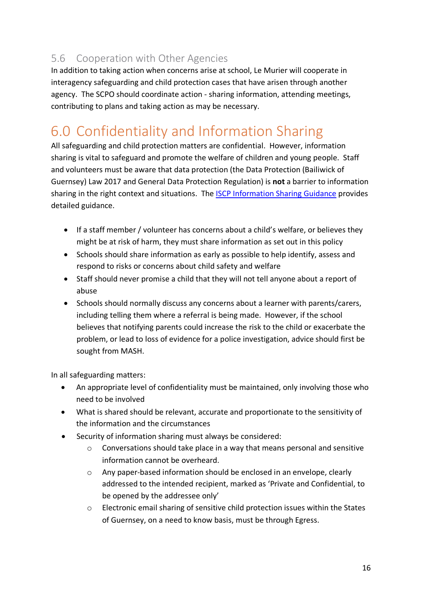# 5.6 Cooperation with Other Agencies

In addition to taking action when concerns arise at school, Le Murier will cooperate in interagency safeguarding and child protection cases that have arisen through another agency. The SCPO should coordinate action - sharing information, attending meetings, contributing to plans and taking action as may be necessary.

# 6.0 Confidentiality and Information Sharing

All safeguarding and child protection matters are confidential. However, information sharing is vital to safeguard and promote the welfare of children and young people. Staff and volunteers must be aware that data protection (the Data Protection (Bailiwick of Guernsey) Law 2017 and General Data Protection Regulation) is **not** a barrier to information sharing in the right context and situations. The ISCP Information Sharing Guidance provides detailed guidance.

- If a staff member / volunteer has concerns about a child's welfare, or believes they might be at risk of harm, they must share information as set out in this policy
- Schools should share information as early as possible to help identify, assess and respond to risks or concerns about child safety and welfare
- Staff should never promise a child that they will not tell anyone about a report of abuse
- Schools should normally discuss any concerns about a learner with parents/carers, including telling them where a referral is being made. However, if the school believes that notifying parents could increase the risk to the child or exacerbate the problem, or lead to loss of evidence for a police investigation, advice should first be sought from MASH.

In all safeguarding matters:

- An appropriate level of confidentiality must be maintained, only involving those who need to be involved
- What is shared should be relevant, accurate and proportionate to the sensitivity of the information and the circumstances
- Security of information sharing must always be considered:
	- $\circ$  Conversations should take place in a way that means personal and sensitive information cannot be overheard.
	- o Any paper-based information should be enclosed in an envelope, clearly addressed to the intended recipient, marked as 'Private and Confidential, to be opened by the addressee only'
	- o Electronic email sharing of sensitive child protection issues within the States of Guernsey, on a need to know basis, must be through Egress.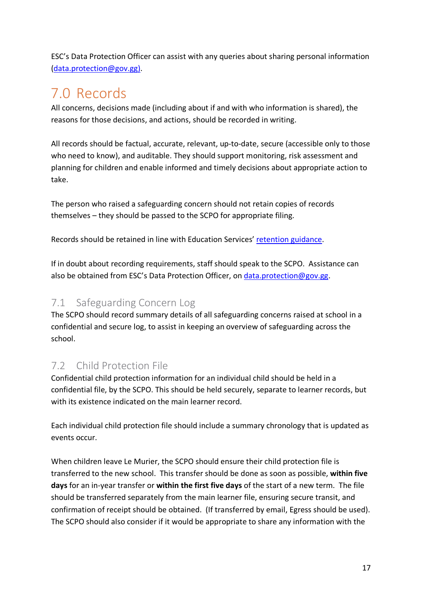ESC's Data Protection Officer can assist with any queries about sharing personal information (data.protection@gov.gg).

# 7.0 Records

All concerns, decisions made (including about if and with who information is shared), the reasons for those decisions, and actions, should be recorded in writing.

All records should be factual, accurate, relevant, up-to-date, secure (accessible only to those who need to know), and auditable. They should support monitoring, risk assessment and planning for children and enable informed and timely decisions about appropriate action to take.

The person who raised a safeguarding concern should not retain copies of records themselves – they should be passed to the SCPO for appropriate filing.

Records should be retained in line with Education Services' retention guidance.

If in doubt about recording requirements, staff should speak to the SCPO. Assistance can also be obtained from ESC's Data Protection Officer, on data.protection@gov.gg.

### 7.1 Safeguarding Concern Log

The SCPO should record summary details of all safeguarding concerns raised at school in a confidential and secure log, to assist in keeping an overview of safeguarding across the school.

## 7.2 Child Protection File

Confidential child protection information for an individual child should be held in a confidential file, by the SCPO. This should be held securely, separate to learner records, but with its existence indicated on the main learner record.

Each individual child protection file should include a summary chronology that is updated as events occur.

When children leave Le Murier, the SCPO should ensure their child protection file is transferred to the new school. This transfer should be done as soon as possible, **within five days** for an in-year transfer or **within the first five days** of the start of a new term. The file should be transferred separately from the main learner file, ensuring secure transit, and confirmation of receipt should be obtained. (If transferred by email, Egress should be used). The SCPO should also consider if it would be appropriate to share any information with the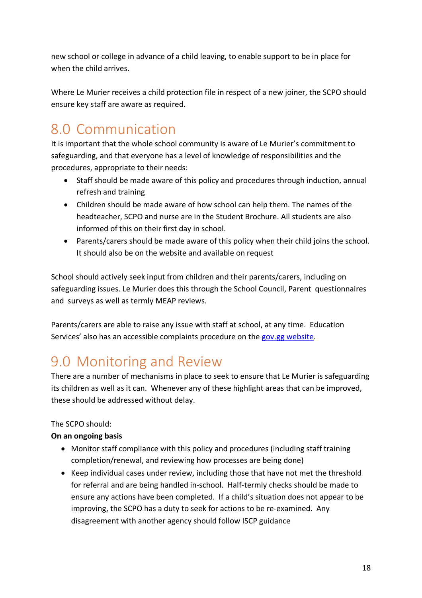new school or college in advance of a child leaving, to enable support to be in place for when the child arrives.

Where Le Murier receives a child protection file in respect of a new joiner, the SCPO should ensure key staff are aware as required.

# 8.0 Communication

It is important that the whole school community is aware of Le Murier's commitment to safeguarding, and that everyone has a level of knowledge of responsibilities and the procedures, appropriate to their needs:

- Staff should be made aware of this policy and procedures through induction, annual refresh and training
- Children should be made aware of how school can help them. The names of the headteacher, SCPO and nurse are in the Student Brochure. All students are also informed of this on their first day in school.
- Parents/carers should be made aware of this policy when their child joins the school. It should also be on the website and available on request

School should actively seek input from children and their parents/carers, including on safeguarding issues. Le Murier does this through the School Council, Parent questionnaires and surveys as well as termly MEAP reviews.

Parents/carers are able to raise any issue with staff at school, at any time. Education Services' also has an accessible complaints procedure on the gov.gg website.

# 9.0 Monitoring and Review

There are a number of mechanisms in place to seek to ensure that Le Murier is safeguarding its children as well as it can. Whenever any of these highlight areas that can be improved, these should be addressed without delay.

#### The SCPO should:

#### **On an ongoing basis**

- Monitor staff compliance with this policy and procedures (including staff training completion/renewal, and reviewing how processes are being done)
- Keep individual cases under review, including those that have not met the threshold for referral and are being handled in-school. Half-termly checks should be made to ensure any actions have been completed. If a child's situation does not appear to be improving, the SCPO has a duty to seek for actions to be re-examined. Any disagreement with another agency should follow ISCP guidance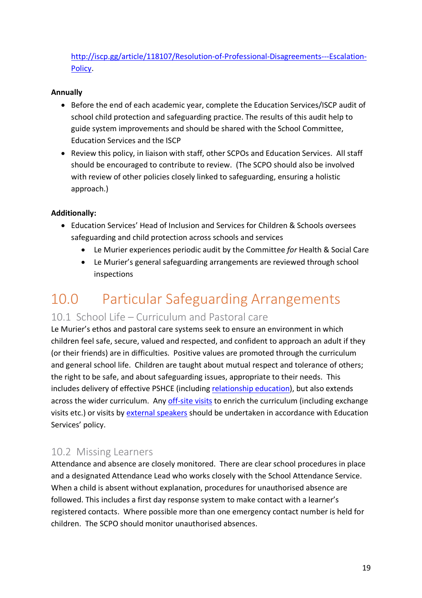http://iscp.gg/article/118107/Resolution-of-Professional-Disagreements---Escalation-Policy.

#### **Annually**

- Before the end of each academic year, complete the Education Services/ISCP audit of school child protection and safeguarding practice. The results of this audit help to guide system improvements and should be shared with the School Committee, Education Services and the ISCP
- Review this policy, in liaison with staff, other SCPOs and Education Services. All staff should be encouraged to contribute to review. (The SCPO should also be involved with review of other policies closely linked to safeguarding, ensuring a holistic approach.)

#### **Additionally:**

- Education Services' Head of Inclusion and Services for Children & Schools oversees safeguarding and child protection across schools and services
	- Le Murier experiences periodic audit by the Committee *for* Health & Social Care
	- Le Murier's general safeguarding arrangements are reviewed through school inspections

# 10.0 Particular Safeguarding Arrangements

#### 10.1 School Life – Curriculum and Pastoral care

Le Murier's ethos and pastoral care systems seek to ensure an environment in which children feel safe, secure, valued and respected, and confident to approach an adult if they (or their friends) are in difficulties. Positive values are promoted through the curriculum and general school life. Children are taught about mutual respect and tolerance of others; the right to be safe, and about safeguarding issues, appropriate to their needs. This includes delivery of effective PSHCE (including relationship education), but also extends across the wider curriculum. Any off-site visits to enrich the curriculum (including exchange visits etc.) or visits by external speakers should be undertaken in accordance with Education Services' policy.

#### 10.2 Missing Learners

Attendance and absence are closely monitored. There are clear school procedures in place and a designated Attendance Lead who works closely with the School Attendance Service. When a child is absent without explanation, procedures for unauthorised absence are followed. This includes a first day response system to make contact with a learner's registered contacts. Where possible more than one emergency contact number is held for children. The SCPO should monitor unauthorised absences.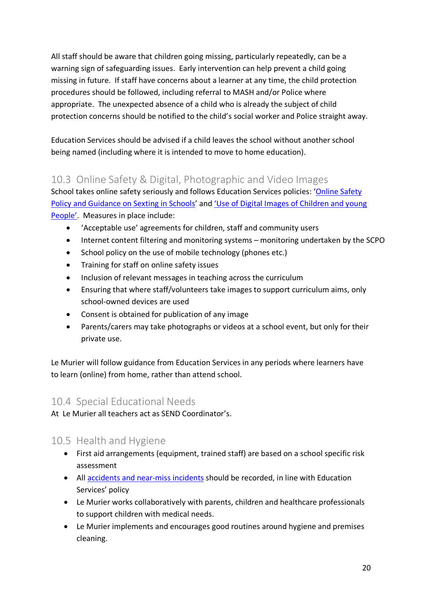All staff should be aware that children going missing, particularly repeatedly, can be a warning sign of safeguarding issues. Early intervention can help prevent a child going missing in future. If staff have concerns about a learner at any time, the child protection procedures should be followed, including referral to MASH and/or Police where appropriate. The unexpected absence of a child who is already the subject of child protection concerns should be notified to the child's social worker and Police straight away.

Education Services should be advised if a child leaves the school without another school being named (including where it is intended to move to home education).

### 10.3 Online Safety & Digital, Photographic and Video Images

School takes online safety seriously and follows Education Services policies: 'Online Safety Policy and Guidance on Sexting in Schools' and 'Use of Digital Images of Children and young People'. Measures in place include:

- 'Acceptable use' agreements for children, staff and community users
- Internet content filtering and monitoring systems monitoring undertaken by the SCPO
- School policy on the use of mobile technology (phones etc.)
- Training for staff on online safety issues
- Inclusion of relevant messages in teaching across the curriculum
- Ensuring that where staff/volunteers take images to support curriculum aims, only school-owned devices are used
- Consent is obtained for publication of any image
- Parents/carers may take photographs or videos at a school event, but only for their private use.

Le Murier will follow guidance from Education Services in any periods where learners have to learn (online) from home, rather than attend school.

#### 10.4 Special Educational Needs

At Le Murier all teachers act as SEND Coordinator's.

### 10.5 Health and Hygiene

- First aid arrangements (equipment, trained staff) are based on a school specific risk assessment
- All accidents and near-miss incidents should be recorded, in line with Education Services' policy
- Le Murier works collaboratively with parents, children and healthcare professionals to support children with medical needs.
- Le Murier implements and encourages good routines around hygiene and premises cleaning.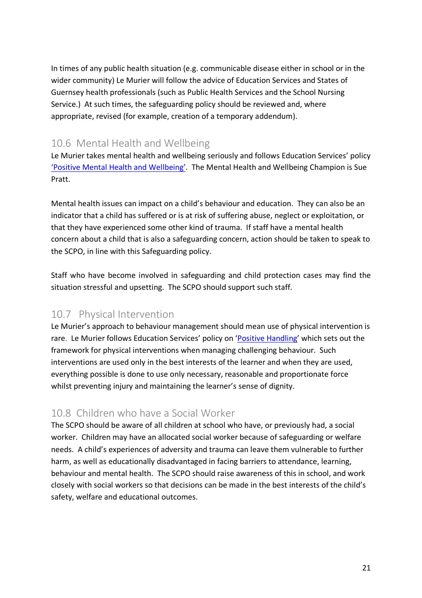In times of any public health situation (e.g. communicable disease either in school or in the wider community) Le Murier will follow the advice of Education Services and States of Guernsey health professionals (such as Public Health Services and the School Nursing Service.) At such times, the safeguarding policy should be reviewed and, where appropriate, revised (for example, creation of a temporary addendum).

## 10.6 Mental Health and Wellbeing

Le Murier takes mental health and wellbeing seriously and follows Education Services' policy 'Positive Mental Health and Wellbeing'. The Mental Health and Wellbeing Champion is Sue Pratt.

Mental health issues can impact on a child's behaviour and education. They can also be an indicator that a child has suffered or is at risk of suffering abuse, neglect or exploitation, or that they have experienced some other kind of trauma. If staff have a mental health concern about a child that is also a safeguarding concern, action should be taken to speak to the SCPO, in line with this Safeguarding policy.

Staff who have become involved in safeguarding and child protection cases may find the situation stressful and upsetting. The SCPO should support such staff.

### 10.7 Physical Intervention

Le Murier's approach to behaviour management should mean use of physical intervention is rare. Le Murier follows Education Services' policy on 'Positive Handling' which sets out the framework for physical interventions when managing challenging behaviour. Such interventions are used only in the best interests of the learner and when they are used, everything possible is done to use only necessary, reasonable and proportionate force whilst preventing injury and maintaining the learner's sense of dignity.

### 10.8 Children who have a Social Worker

The SCPO should be aware of all children at school who have, or previously had, a social worker. Children may have an allocated social worker because of safeguarding or welfare needs. A child's experiences of adversity and trauma can leave them vulnerable to further harm, as well as educationally disadvantaged in facing barriers to attendance, learning, behaviour and mental health. The SCPO should raise awareness of this in school, and work closely with social workers so that decisions can be made in the best interests of the child's safety, welfare and educational outcomes.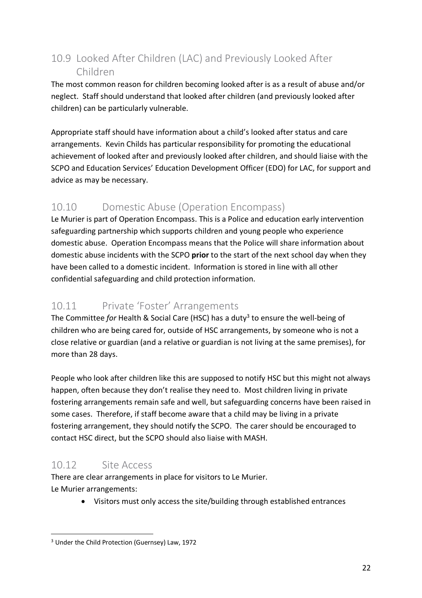# 10.9 Looked After Children (LAC) and Previously Looked After Children

The most common reason for children becoming looked after is as a result of abuse and/or neglect. Staff should understand that looked after children (and previously looked after children) can be particularly vulnerable.

Appropriate staff should have information about a child's looked after status and care arrangements. Kevin Childs has particular responsibility for promoting the educational achievement of looked after and previously looked after children, and should liaise with the SCPO and Education Services' Education Development Officer (EDO) for LAC, for support and advice as may be necessary.

# 10.10 Domestic Abuse (Operation Encompass)

Le Murier is part of Operation Encompass. This is a Police and education early intervention safeguarding partnership which supports children and young people who experience domestic abuse. Operation Encompass means that the Police will share information about domestic abuse incidents with the SCPO **prior** to the start of the next school day when they have been called to a domestic incident. Information is stored in line with all other confidential safeguarding and child protection information.

## 10.11 Private 'Foster' Arrangements

The Committee *for* Health & Social Care (HSC) has a duty<sup>3</sup> to ensure the well-being of children who are being cared for, outside of HSC arrangements, by someone who is not a close relative or guardian (and a relative or guardian is not living at the same premises), for more than 28 days.

People who look after children like this are supposed to notify HSC but this might not always happen, often because they don't realise they need to. Most children living in private fostering arrangements remain safe and well, but safeguarding concerns have been raised in some cases. Therefore, if staff become aware that a child may be living in a private fostering arrangement, they should notify the SCPO. The carer should be encouraged to contact HSC direct, but the SCPO should also liaise with MASH.

## 10.12 Site Access

There are clear arrangements in place for visitors to Le Murier. Le Murier arrangements:

• Visitors must only access the site/building through established entrances

 <sup>3</sup> Under the Child Protection (Guernsey) Law, 1972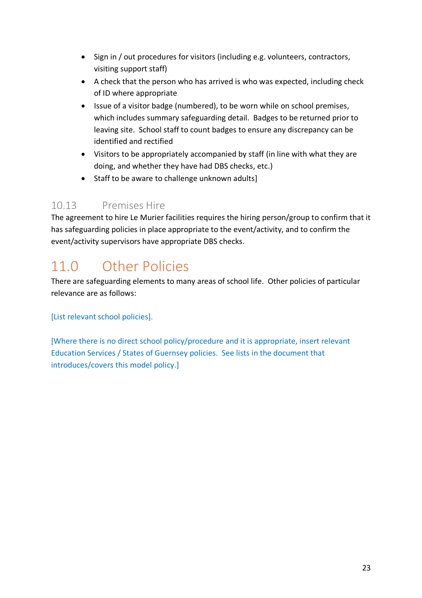- Sign in / out procedures for visitors (including e.g. volunteers, contractors, visiting support staff)
- A check that the person who has arrived is who was expected, including check of ID where appropriate
- Issue of a visitor badge (numbered), to be worn while on school premises, which includes summary safeguarding detail. Badges to be returned prior to leaving site. School staff to count badges to ensure any discrepancy can be identified and rectified
- Visitors to be appropriately accompanied by staff (in line with what they are doing, and whether they have had DBS checks, etc.)
- Staff to be aware to challenge unknown adults]

## 10.13 Premises Hire

The agreement to hire Le Murier facilities requires the hiring person/group to confirm that it has safeguarding policies in place appropriate to the event/activity, and to confirm the event/activity supervisors have appropriate DBS checks.

# 11.0 Other Policies

There are safeguarding elements to many areas of school life. Other policies of particular relevance are as follows:

[List relevant school policies].

[Where there is no direct school policy/procedure and it is appropriate, insert relevant Education Services / States of Guernsey policies. See lists in the document that introduces/covers this model policy.]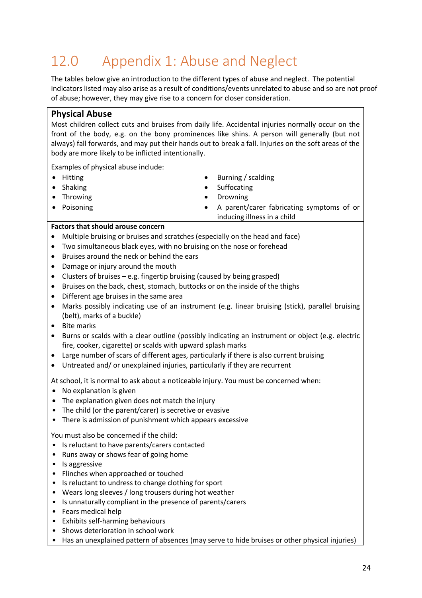# 12.0 Appendix 1: Abuse and Neglect

The tables below give an introduction to the different types of abuse and neglect. The potential indicators listed may also arise as a result of conditions/events unrelated to abuse and so are not proof of abuse; however, they may give rise to a concern for closer consideration.

#### **Physical Abuse**

Most children collect cuts and bruises from daily life. Accidental injuries normally occur on the front of the body, e.g. on the bony prominences like shins. A person will generally (but not always) fall forwards, and may put their hands out to break a fall. Injuries on the soft areas of the body are more likely to be inflicted intentionally.

Examples of physical abuse include:

- Hitting
- Shaking
- Throwing
- Poisoning
- Burning / scalding
- **Suffocating**
- Drowning
- A parent/carer fabricating symptoms of or inducing illness in a child

#### **Factors that should arouse concern**

- Multiple bruising or bruises and scratches (especially on the head and face)
- Two simultaneous black eyes, with no bruising on the nose or forehead
- Bruises around the neck or behind the ears
- Damage or injury around the mouth
- Clusters of bruises  $-e.g.$  fingertip bruising (caused by being grasped)
- Bruises on the back, chest, stomach, buttocks or on the inside of the thighs
- Different age bruises in the same area
- Marks possibly indicating use of an instrument (e.g. linear bruising (stick), parallel bruising (belt), marks of a buckle)
- Bite marks
- Burns or scalds with a clear outline (possibly indicating an instrument or object (e.g. electric fire, cooker, cigarette) or scalds with upward splash marks
- Large number of scars of different ages, particularly if there is also current bruising
- Untreated and/ or unexplained injuries, particularly if they are recurrent

At school, it is normal to ask about a noticeable injury. You must be concerned when:

- No explanation is given
- The explanation given does not match the injury
- The child (or the parent/carer) is secretive or evasive
- There is admission of punishment which appears excessive

You must also be concerned if the child:

- Is reluctant to have parents/carers contacted
- Runs away or shows fear of going home
- Is aggressive
- Flinches when approached or touched
- Is reluctant to undress to change clothing for sport
- Wears long sleeves / long trousers during hot weather
- Is unnaturally compliant in the presence of parents/carers
- Fears medical help
- Exhibits self-harming behaviours
- Shows deterioration in school work
- Has an unexplained pattern of absences (may serve to hide bruises or other physical injuries)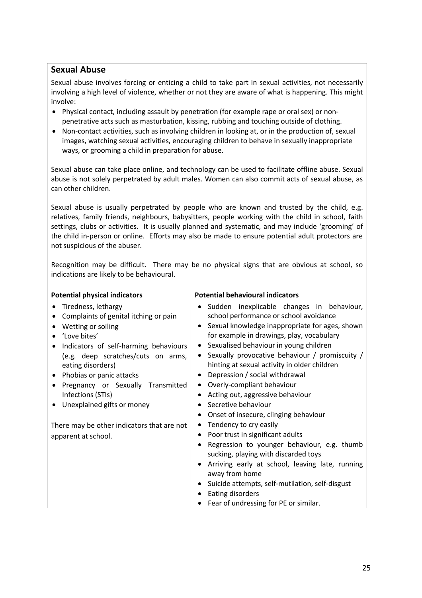#### **Sexual Abuse**

Sexual abuse involves forcing or enticing a child to take part in sexual activities, not necessarily involving a high level of violence, whether or not they are aware of what is happening. This might involve:

- Physical contact, including assault by penetration (for example rape or oral sex) or nonpenetrative acts such as masturbation, kissing, rubbing and touching outside of clothing.
- Non-contact activities, such as involving children in looking at, or in the production of, sexual images, watching sexual activities, encouraging children to behave in sexually inappropriate ways, or grooming a child in preparation for abuse.

Sexual abuse can take place online, and technology can be used to facilitate offline abuse. Sexual abuse is not solely perpetrated by adult males. Women can also commit acts of sexual abuse, as can other children.

Sexual abuse is usually perpetrated by people who are known and trusted by the child, e.g. relatives, family friends, neighbours, babysitters, people working with the child in school, faith settings, clubs or activities. It is usually planned and systematic, and may include 'grooming' of the child in-person or online. Efforts may also be made to ensure potential adult protectors are not suspicious of the abuser.

Recognition may be difficult. There may be no physical signs that are obvious at school, so indications are likely to be behavioural.

| <b>Potential physical indicators</b>       | <b>Potential behavioural indicators</b>                  |  |
|--------------------------------------------|----------------------------------------------------------|--|
| Tiredness, lethargy                        | · Sudden inexplicable changes in behaviour,              |  |
| Complaints of genital itching or pain      | school performance or school avoidance                   |  |
| Wetting or soiling                         | • Sexual knowledge inappropriate for ages, shown         |  |
| 'Love bites'                               | for example in drawings, play, vocabulary                |  |
| Indicators of self-harming behaviours      | Sexualised behaviour in young children<br>$\bullet$      |  |
| (e.g. deep scratches/cuts on arms,         | • Sexually provocative behaviour / promiscuity /         |  |
| eating disorders)                          | hinting at sexual activity in older children             |  |
| Phobias or panic attacks                   | Depression / social withdrawal<br>٠                      |  |
| Pregnancy or Sexually Transmitted          | Overly-compliant behaviour<br>٠                          |  |
| Infections (STIs)                          | Acting out, aggressive behaviour                         |  |
| Unexplained gifts or money                 | Secretive behaviour                                      |  |
|                                            | Onset of insecure, clinging behaviour<br>$\bullet$       |  |
| There may be other indicators that are not | Tendency to cry easily<br>٠                              |  |
| apparent at school.                        | Poor trust in significant adults<br>٠                    |  |
|                                            | Regression to younger behaviour, e.g. thumb<br>$\bullet$ |  |
|                                            | sucking, playing with discarded toys                     |  |
|                                            | Arriving early at school, leaving late, running          |  |
|                                            | away from home                                           |  |
|                                            | Suicide attempts, self-mutilation, self-disgust<br>٠     |  |
|                                            | Eating disorders                                         |  |
|                                            | Fear of undressing for PE or similar.                    |  |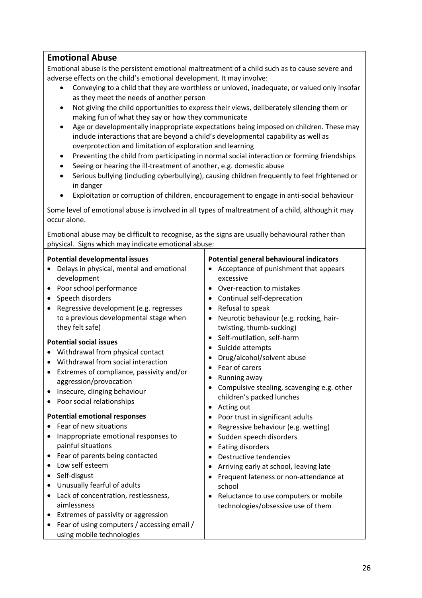#### **Emotional Abuse**

Emotional abuse is the persistent emotional maltreatment of a child such as to cause severe and adverse effects on the child's emotional development. It may involve:

- Conveying to a child that they are worthless or unloved, inadequate, or valued only insofar as they meet the needs of another person
- Not giving the child opportunities to express their views, deliberately silencing them or making fun of what they say or how they communicate
- Age or developmentally inappropriate expectations being imposed on children. These may include interactions that are beyond a child's developmental capability as well as overprotection and limitation of exploration and learning
- Preventing the child from participating in normal social interaction or forming friendships
- Seeing or hearing the ill-treatment of another, e.g. domestic abuse
- Serious bullying (including cyberbullying), causing children frequently to feel frightened or in danger
- Exploitation or corruption of children, encouragement to engage in anti-social behaviour

Some level of emotional abuse is involved in all types of maltreatment of a child, although it may occur alone.

Emotional abuse may be difficult to recognise, as the signs are usually behavioural rather than physical. Signs which may indicate emotional abuse:

#### **Potential developmental issues**

- Delays in physical, mental and emotional development
- Poor school performance
- Speech disorders
- Regressive development (e.g. regresses to a previous developmental stage when they felt safe)

#### **Potential social issues**

- Withdrawal from physical contact
- Withdrawal from social interaction
- Extremes of compliance, passivity and/or aggression/provocation
- Insecure, clinging behaviour
- Poor social relationships

#### **Potential emotional responses**

- Fear of new situations
- Inappropriate emotional responses to painful situations
- Fear of parents being contacted
- Low self esteem
- Self-disgust
- Unusually fearful of adults
- Lack of concentration, restlessness, aimlessness
- Extremes of passivity or aggression
- Fear of using computers / accessing email / using mobile technologies

#### **Potential general behavioural indicators**

- Acceptance of punishment that appears excessive
- Over-reaction to mistakes
- Continual self-deprecation
- Refusal to speak
- Neurotic behaviour (e.g. rocking, hairtwisting, thumb-sucking)
- Self-mutilation, self-harm
- Suicide attempts
- Drug/alcohol/solvent abuse
- Fear of carers
- Running away
- Compulsive stealing, scavenging e.g. other children's packed lunches
- Acting out
- Poor trust in significant adults
- Regressive behaviour (e.g. wetting)
- Sudden speech disorders
- Eating disorders
- Destructive tendencies
- Arriving early at school, leaving late
- Frequent lateness or non-attendance at school
- Reluctance to use computers or mobile technologies/obsessive use of them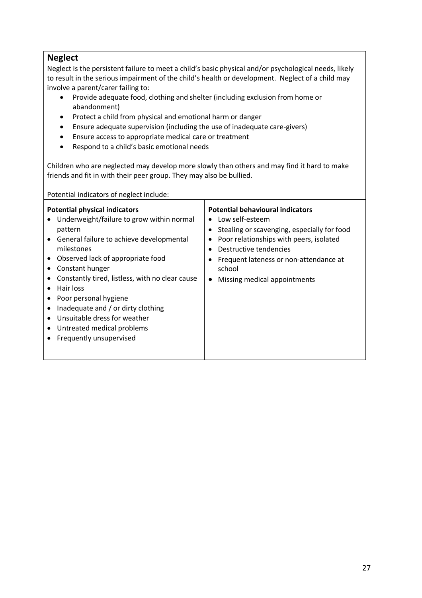#### **Neglect**

Neglect is the persistent failure to meet a child's basic physical and/or psychological needs, likely to result in the serious impairment of the child's health or development. Neglect of a child may involve a parent/carer failing to:

- Provide adequate food, clothing and shelter (including exclusion from home or abandonment)
- Protect a child from physical and emotional harm or danger
- Ensure adequate supervision (including the use of inadequate care-givers)
- Ensure access to appropriate medical care or treatment
- Respond to a child's basic emotional needs

Children who are neglected may develop more slowly than others and may find it hard to make friends and fit in with their peer group. They may also be bullied.

Potential indicators of neglect include:

| <b>Potential physical indicators</b><br>Underweight/failure to grow within normal<br>pattern<br>General failure to achieve developmental<br>$\bullet$<br>milestones<br>Observed lack of appropriate food<br>$\bullet$<br>Constant hunger<br>Constantly tired, listless, with no clear cause<br>Hair loss<br>Poor personal hygiene<br>Inadequate and / or dirty clothing<br>Unsuitable dress for weather<br>Untreated medical problems<br>$\bullet$<br>Frequently unsupervised | <b>Potential behavioural indicators</b><br>Low self-esteem<br>Stealing or scavenging, especially for food<br>Poor relationships with peers, isolated<br>Destructive tendencies<br>Frequent lateness or non-attendance at<br>school<br>Missing medical appointments |
|-------------------------------------------------------------------------------------------------------------------------------------------------------------------------------------------------------------------------------------------------------------------------------------------------------------------------------------------------------------------------------------------------------------------------------------------------------------------------------|--------------------------------------------------------------------------------------------------------------------------------------------------------------------------------------------------------------------------------------------------------------------|
|-------------------------------------------------------------------------------------------------------------------------------------------------------------------------------------------------------------------------------------------------------------------------------------------------------------------------------------------------------------------------------------------------------------------------------------------------------------------------------|--------------------------------------------------------------------------------------------------------------------------------------------------------------------------------------------------------------------------------------------------------------------|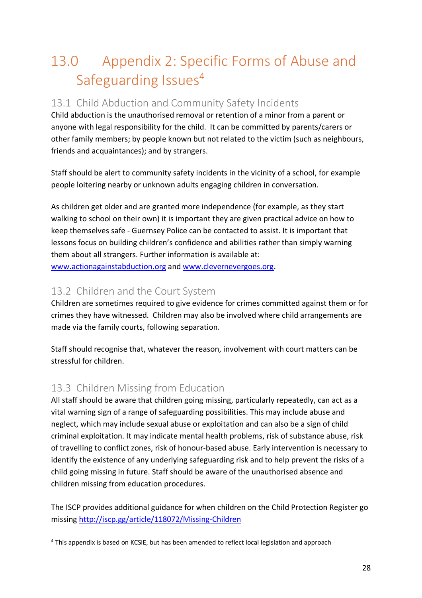# 13.0 Appendix 2: Specific Forms of Abuse and Safeguarding Issues<sup>4</sup>

## 13.1 Child Abduction and Community Safety Incidents

Child abduction is the unauthorised removal or retention of a minor from a parent or anyone with legal responsibility for the child. It can be committed by parents/carers or other family members; by people known but not related to the victim (such as neighbours, friends and acquaintances); and by strangers.

Staff should be alert to community safety incidents in the vicinity of a school, for example people loitering nearby or unknown adults engaging children in conversation.

As children get older and are granted more independence (for example, as they start walking to school on their own) it is important they are given practical advice on how to keep themselves safe - Guernsey Police can be contacted to assist. It is important that lessons focus on building children's confidence and abilities rather than simply warning them about all strangers. Further information is available at: www.actionagainstabduction.org and www.clevernevergoes.org.

### 13.2 Children and the Court System

Children are sometimes required to give evidence for crimes committed against them or for crimes they have witnessed. Children may also be involved where child arrangements are made via the family courts, following separation.

Staff should recognise that, whatever the reason, involvement with court matters can be stressful for children.

## 13.3 Children Missing from Education

All staff should be aware that children going missing, particularly repeatedly, can act as a vital warning sign of a range of safeguarding possibilities. This may include abuse and neglect, which may include sexual abuse or exploitation and can also be a sign of child criminal exploitation. It may indicate mental health problems, risk of substance abuse, risk of travelling to conflict zones, risk of honour-based abuse. Early intervention is necessary to identify the existence of any underlying safeguarding risk and to help prevent the risks of a child going missing in future. Staff should be aware of the unauthorised absence and children missing from education procedures.

The ISCP provides additional guidance for when children on the Child Protection Register go missing http://iscp.gg/article/118072/Missing-Children

 <sup>4</sup> This appendix is based on KCSIE, but has been amended to reflect local legislation and approach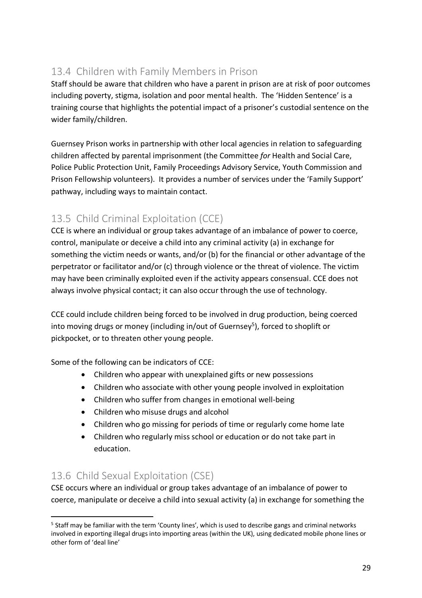# 13.4 Children with Family Members in Prison

Staff should be aware that children who have a parent in prison are at risk of poor outcomes including poverty, stigma, isolation and poor mental health. The 'Hidden Sentence' is a training course that highlights the potential impact of a prisoner's custodial sentence on the wider family/children.

Guernsey Prison works in partnership with other local agencies in relation to safeguarding children affected by parental imprisonment (the Committee *for* Health and Social Care, Police Public Protection Unit, Family Proceedings Advisory Service, Youth Commission and Prison Fellowship volunteers). It provides a number of services under the 'Family Support' pathway, including ways to maintain contact.

# 13.5 Child Criminal Exploitation (CCE)

CCE is where an individual or group takes advantage of an imbalance of power to coerce, control, manipulate or deceive a child into any criminal activity (a) in exchange for something the victim needs or wants, and/or (b) for the financial or other advantage of the perpetrator or facilitator and/or (c) through violence or the threat of violence. The victim may have been criminally exploited even if the activity appears consensual. CCE does not always involve physical contact; it can also occur through the use of technology.

CCE could include children being forced to be involved in drug production, being coerced into moving drugs or money (including in/out of Guernsey<sup>5</sup>), forced to shoplift or pickpocket, or to threaten other young people.

Some of the following can be indicators of CCE:

- Children who appear with unexplained gifts or new possessions
- Children who associate with other young people involved in exploitation
- Children who suffer from changes in emotional well-being
- Children who misuse drugs and alcohol
- Children who go missing for periods of time or regularly come home late
- Children who regularly miss school or education or do not take part in education.

## 13.6 Child Sexual Exploitation (CSE)

CSE occurs where an individual or group takes advantage of an imbalance of power to coerce, manipulate or deceive a child into sexual activity (a) in exchange for something the

<sup>&</sup>lt;sup>5</sup> Staff may be familiar with the term 'County lines', which is used to describe gangs and criminal networks involved in exporting illegal drugs into importing areas (within the UK), using dedicated mobile phone lines or other form of 'deal line'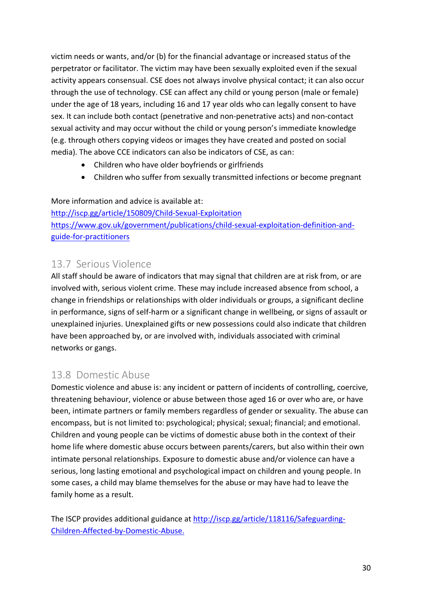victim needs or wants, and/or (b) for the financial advantage or increased status of the perpetrator or facilitator. The victim may have been sexually exploited even if the sexual activity appears consensual. CSE does not always involve physical contact; it can also occur through the use of technology. CSE can affect any child or young person (male or female) under the age of 18 years, including 16 and 17 year olds who can legally consent to have sex. It can include both contact (penetrative and non-penetrative acts) and non-contact sexual activity and may occur without the child or young person's immediate knowledge (e.g. through others copying videos or images they have created and posted on social media). The above CCE indicators can also be indicators of CSE, as can:

- Children who have older boyfriends or girlfriends
- Children who suffer from sexually transmitted infections or become pregnant

More information and advice is available at: http://iscp.gg/article/150809/Child-Sexual-Exploitation https://www.gov.uk/government/publications/child-sexual-exploitation-definition-andguide-for-practitioners

### 13.7 Serious Violence

All staff should be aware of indicators that may signal that children are at risk from, or are involved with, serious violent crime. These may include increased absence from school, a change in friendships or relationships with older individuals or groups, a significant decline in performance, signs of self-harm or a significant change in wellbeing, or signs of assault or unexplained injuries. Unexplained gifts or new possessions could also indicate that children have been approached by, or are involved with, individuals associated with criminal networks or gangs.

### 13.8 Domestic Abuse

Domestic violence and abuse is: any incident or pattern of incidents of controlling, coercive, threatening behaviour, violence or abuse between those aged 16 or over who are, or have been, intimate partners or family members regardless of gender or sexuality. The abuse can encompass, but is not limited to: psychological; physical; sexual; financial; and emotional. Children and young people can be victims of domestic abuse both in the context of their home life where domestic abuse occurs between parents/carers, but also within their own intimate personal relationships. Exposure to domestic abuse and/or violence can have a serious, long lasting emotional and psychological impact on children and young people. In some cases, a child may blame themselves for the abuse or may have had to leave the family home as a result.

The ISCP provides additional guidance at http://iscp.gg/article/118116/Safeguarding-Children-Affected-by-Domestic-Abuse.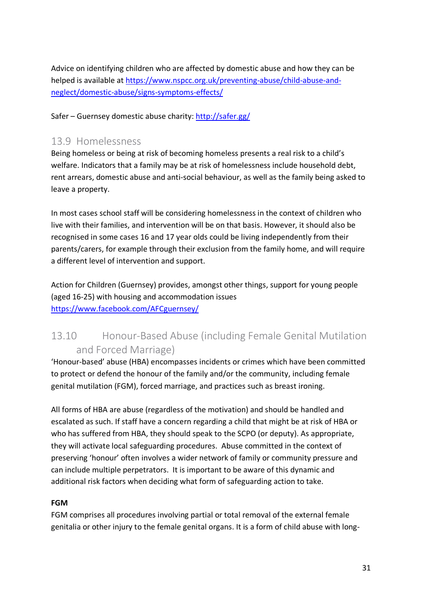Advice on identifying children who are affected by domestic abuse and how they can be helped is available at https://www.nspcc.org.uk/preventing-abuse/child-abuse-andneglect/domestic-abuse/signs-symptoms-effects/

Safer – Guernsey domestic abuse charity: http://safer.gg/

#### 13.9 Homelessness

Being homeless or being at risk of becoming homeless presents a real risk to a child's welfare. Indicators that a family may be at risk of homelessness include household debt, rent arrears, domestic abuse and anti-social behaviour, as well as the family being asked to leave a property.

In most cases school staff will be considering homelessness in the context of children who live with their families, and intervention will be on that basis. However, it should also be recognised in some cases 16 and 17 year olds could be living independently from their parents/carers, for example through their exclusion from the family home, and will require a different level of intervention and support.

Action for Children (Guernsey) provides, amongst other things, support for young people (aged 16-25) with housing and accommodation issues https://www.facebook.com/AFCguernsey/

# 13.10 Honour-Based Abuse (including Female Genital Mutilation and Forced Marriage)

'Honour-based' abuse (HBA) encompasses incidents or crimes which have been committed to protect or defend the honour of the family and/or the community, including female genital mutilation (FGM), forced marriage, and practices such as breast ironing.

All forms of HBA are abuse (regardless of the motivation) and should be handled and escalated as such. If staff have a concern regarding a child that might be at risk of HBA or who has suffered from HBA, they should speak to the SCPO (or deputy). As appropriate, they will activate local safeguarding procedures. Abuse committed in the context of preserving 'honour' often involves a wider network of family or community pressure and can include multiple perpetrators. It is important to be aware of this dynamic and additional risk factors when deciding what form of safeguarding action to take.

#### **FGM**

FGM comprises all procedures involving partial or total removal of the external female genitalia or other injury to the female genital organs. It is a form of child abuse with long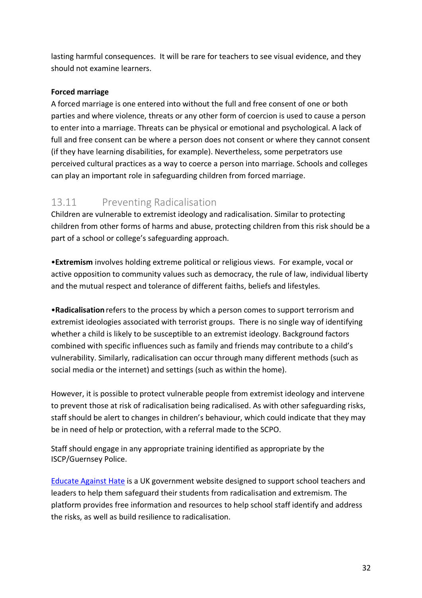lasting harmful consequences. It will be rare for teachers to see visual evidence, and they should not examine learners.

#### **Forced marriage**

A forced marriage is one entered into without the full and free consent of one or both parties and where violence, threats or any other form of coercion is used to cause a person to enter into a marriage. Threats can be physical or emotional and psychological. A lack of full and free consent can be where a person does not consent or where they cannot consent (if they have learning disabilities, for example). Nevertheless, some perpetrators use perceived cultural practices as a way to coerce a person into marriage. Schools and colleges can play an important role in safeguarding children from forced marriage.

## 13.11 Preventing Radicalisation

Children are vulnerable to extremist ideology and radicalisation. Similar to protecting children from other forms of harms and abuse, protecting children from this risk should be a part of a school or college's safeguarding approach.

•**Extremism** involves holding extreme political or religious views. For example, vocal or active opposition to community values such as democracy, the rule of law, individual liberty and the mutual respect and tolerance of different faiths, beliefs and lifestyles.

•**Radicalisation** refers to the process by which a person comes to support terrorism and extremist ideologies associated with terrorist groups. There is no single way of identifying whether a child is likely to be susceptible to an extremist ideology. Background factors combined with specific influences such as family and friends may contribute to a child's vulnerability. Similarly, radicalisation can occur through many different methods (such as social media or the internet) and settings (such as within the home).

However, it is possible to protect vulnerable people from extremist ideology and intervene to prevent those at risk of radicalisation being radicalised. As with other safeguarding risks, staff should be alert to changes in children's behaviour, which could indicate that they may be in need of help or protection, with a referral made to the SCPO.

Staff should engage in any appropriate training identified as appropriate by the ISCP/Guernsey Police.

Educate Against Hate is a UK government website designed to support school teachers and leaders to help them safeguard their students from radicalisation and extremism. The platform provides free information and resources to help school staff identify and address the risks, as well as build resilience to radicalisation.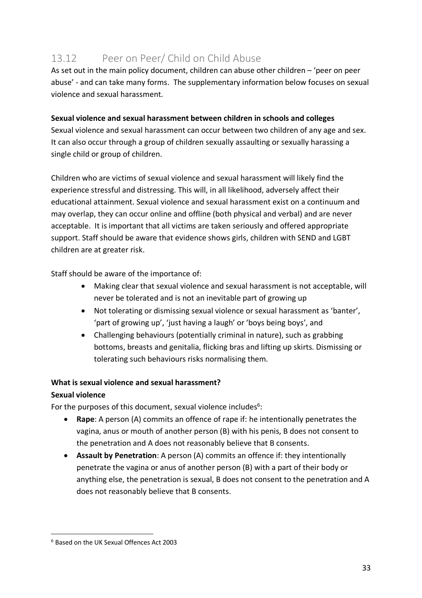# 13.12 Peer on Peer/ Child on Child Abuse

As set out in the main policy document, children can abuse other children – 'peer on peer abuse' - and can take many forms. The supplementary information below focuses on sexual violence and sexual harassment.

#### **Sexual violence and sexual harassment between children in schools and colleges**

Sexual violence and sexual harassment can occur between two children of any age and sex. It can also occur through a group of children sexually assaulting or sexually harassing a single child or group of children.

Children who are victims of sexual violence and sexual harassment will likely find the experience stressful and distressing. This will, in all likelihood, adversely affect their educational attainment. Sexual violence and sexual harassment exist on a continuum and may overlap, they can occur online and offline (both physical and verbal) and are never acceptable. It is important that all victims are taken seriously and offered appropriate support. Staff should be aware that evidence shows girls, children with SEND and LGBT children are at greater risk.

Staff should be aware of the importance of:

- Making clear that sexual violence and sexual harassment is not acceptable, will never be tolerated and is not an inevitable part of growing up
- Not tolerating or dismissing sexual violence or sexual harassment as 'banter', 'part of growing up', 'just having a laugh' or 'boys being boys', and
- Challenging behaviours (potentially criminal in nature), such as grabbing bottoms, breasts and genitalia, flicking bras and lifting up skirts. Dismissing or tolerating such behaviours risks normalising them.

#### **What is sexual violence and sexual harassment?**

#### **Sexual violence**

For the purposes of this document, sexual violence includes<sup>6</sup>:

- **Rape**: A person (A) commits an offence of rape if: he intentionally penetrates the vagina, anus or mouth of another person (B) with his penis, B does not consent to the penetration and A does not reasonably believe that B consents.
- **Assault by Penetration**: A person (A) commits an offence if: they intentionally penetrate the vagina or anus of another person (B) with a part of their body or anything else, the penetration is sexual, B does not consent to the penetration and A does not reasonably believe that B consents.

 <sup>6</sup> Based on the UK Sexual Offences Act 2003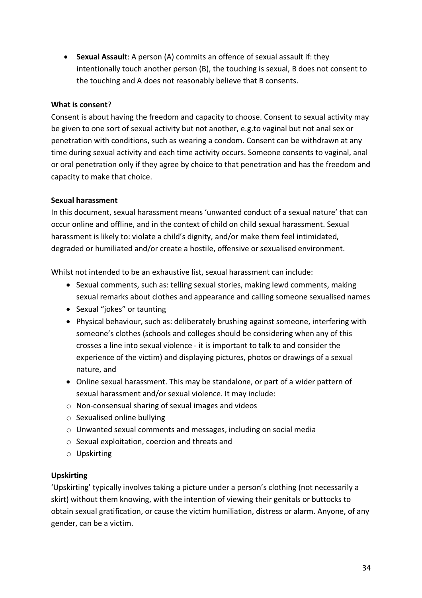• **Sexual Assaul**t: A person (A) commits an offence of sexual assault if: they intentionally touch another person (B), the touching is sexual, B does not consent to the touching and A does not reasonably believe that B consents.

#### **What is consent**?

Consent is about having the freedom and capacity to choose. Consent to sexual activity may be given to one sort of sexual activity but not another, e.g.to vaginal but not anal sex or penetration with conditions, such as wearing a condom. Consent can be withdrawn at any time during sexual activity and each time activity occurs. Someone consents to vaginal, anal or oral penetration only if they agree by choice to that penetration and has the freedom and capacity to make that choice.

#### **Sexual harassment**

In this document, sexual harassment means 'unwanted conduct of a sexual nature' that can occur online and offline, and in the context of child on child sexual harassment. Sexual harassment is likely to: violate a child's dignity, and/or make them feel intimidated, degraded or humiliated and/or create a hostile, offensive or sexualised environment.

Whilst not intended to be an exhaustive list, sexual harassment can include:

- Sexual comments, such as: telling sexual stories, making lewd comments, making sexual remarks about clothes and appearance and calling someone sexualised names
- Sexual "jokes" or taunting
- Physical behaviour, such as: deliberately brushing against someone, interfering with someone's clothes (schools and colleges should be considering when any of this crosses a line into sexual violence - it is important to talk to and consider the experience of the victim) and displaying pictures, photos or drawings of a sexual nature, and
- Online sexual harassment. This may be standalone, or part of a wider pattern of sexual harassment and/or sexual violence. It may include:
- o Non-consensual sharing of sexual images and videos
- o Sexualised online bullying
- o Unwanted sexual comments and messages, including on social media
- o Sexual exploitation, coercion and threats and
- o Upskirting

#### **Upskirting**

'Upskirting' typically involves taking a picture under a person's clothing (not necessarily a skirt) without them knowing, with the intention of viewing their genitals or buttocks to obtain sexual gratification, or cause the victim humiliation, distress or alarm. Anyone, of any gender, can be a victim.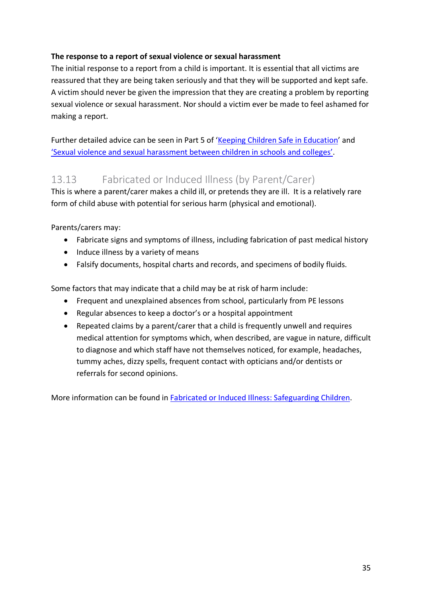#### **The response to a report of sexual violence or sexual harassment**

The initial response to a report from a child is important. It is essential that all victims are reassured that they are being taken seriously and that they will be supported and kept safe. A victim should never be given the impression that they are creating a problem by reporting sexual violence or sexual harassment. Nor should a victim ever be made to feel ashamed for making a report.

Further detailed advice can be seen in Part 5 of 'Keeping Children Safe in Education' and 'Sexual violence and sexual harassment between children in schools and colleges'.

### 13.13 Fabricated or Induced Illness (by Parent/Carer)

This is where a parent/carer makes a child ill, or pretends they are ill. It is a relatively rare form of child abuse with potential for serious harm (physical and emotional).

Parents/carers may:

- Fabricate signs and symptoms of illness, including fabrication of past medical history
- Induce illness by a variety of means
- Falsify documents, hospital charts and records, and specimens of bodily fluids.

Some factors that may indicate that a child may be at risk of harm include:

- Frequent and unexplained absences from school, particularly from PE lessons
- Regular absences to keep a doctor's or a hospital appointment
- Repeated claims by a parent/carer that a child is frequently unwell and requires medical attention for symptoms which, when described, are vague in nature, difficult to diagnose and which staff have not themselves noticed, for example, headaches, tummy aches, dizzy spells, frequent contact with opticians and/or dentists or referrals for second opinions.

More information can be found in Fabricated or Induced Illness: Safeguarding Children.